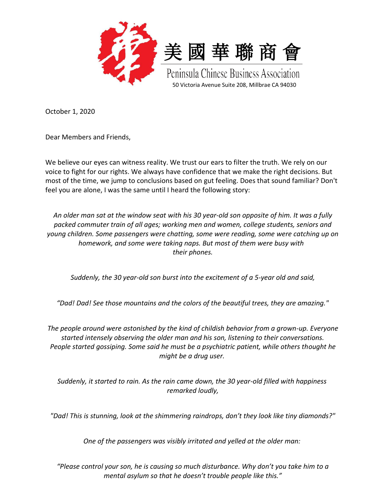

October 1, 2020

Dear Members and Friends,

We believe our eyes can witness reality. We trust our ears to filter the truth. We rely on our voice to fight for our rights. We always have confidence that we make the right decisions. But most of the time, we jump to conclusions based on gut feeling. Does that sound familiar? Don't feel you are alone, I was the same until I heard the following story:

*An older man sat at the window seat with his 30 year-old son opposite of him. It was a fully packed commuter train of all ages; working men and women, college students, seniors and young children. Some passengers were chatting, some were reading, some were catching up on homework, and some were taking naps. But most of them were busy with their phones.*

*Suddenly, the 30 year-old son burst into the excitement of a 5-year old and said,*

*"Dad! Dad! See those mountains and the colors of the beautiful trees, they are amazing."*

*The people around were astonished by the kind of childish behavior from a grown-up. Everyone started intensely observing the older man and his son, listening to their conversations. People started gossiping. Some said he must be a psychiatric patient, while others thought he might be a drug user.*

*Suddenly, it started to rain. As the rain came down, the 30 year-old filled with happiness remarked loudly,*

*"Dad! This is stunning, look at the shimmering raindrops, don't they look like tiny diamonds?"*

*One of the passengers was visibly irritated and yelled at the older man:*

*"Please control your son, he is causing so much disturbance. Why don't you take him to a mental asylum so that he doesn't trouble people like this."*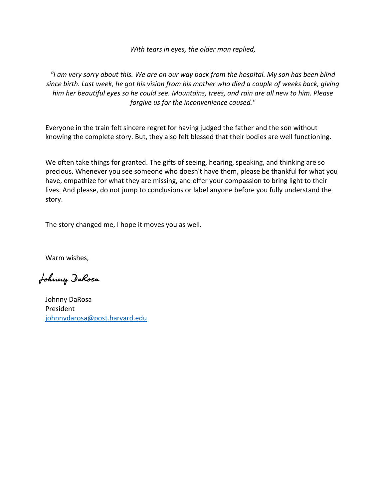*With tears in eyes, the older man replied,*

*"I am very sorry about this. We are on our way back from the hospital. My son has been blind since birth. Last week, he got his vision from his mother who died a couple of weeks back, giving him her beautiful eyes so he could see. Mountains, trees, and rain are all new to him. Please forgive us for the inconvenience caused."*

Everyone in the train felt sincere regret for having judged the father and the son without knowing the complete story. But, they also felt blessed that their bodies are well functioning.

We often take things for granted. The gifts of seeing, hearing, speaking, and thinking are so precious. Whenever you see someone who doesn't have them, please be thankful for what you have, empathize for what they are missing, and offer your compassion to bring light to their lives. And please, do not jump to conclusions or label anyone before you fully understand the story.

The story changed me, I hope it moves you as well.

Warm wishes,

Johnny DaRosa

Johnny DaRosa President [johnnydarosa@post.harvard.edu](mailto:johnnydarosa@post.harvard.edu)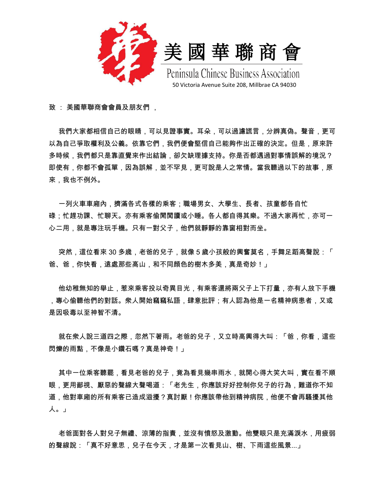



Peninsula Chinese Business Association 50 Victoria Avenue Suite 208, Millbrae CA 94030

致 : 美國華聯商會會員及朋友們 ,

我們大家都相信自己的眼睛,可以見證事實。耳朵,可以過濾謊言,分辨真偽。聲音,更可 以為自己爭取權利及公義。依靠它們,我們便會堅信自己能夠作出正確的決定。但是,原來許 多時候,我們都只是靠直覺來作出結論,卻欠缺理據支持。你是否都遇過對事情誤解的境況? 即使有,你都不會孤單,因為誤解,並不罕見,更可說是人之常情。當我聽過以下的故事,原 來,我也不例外。

 一列火車車廂內,擠滿各式各樣的乘客;職場男女、大學生、長者、孩童都各自忙 碌;忙趕功課、忙聊天。亦有乘客偷閒閲讀或小睡。各人都自得其樂。不過大家再忙,亦可一 心二用,就是專注玩手機。只有一對父子,他們就靜靜的靠窗相對而坐。

 突然,這位看來 30 多歳,老爸的兒子,就像 5 歲小孩般的興奮莫名,手舞足蹈高聲說:「 爸、爸,你快看,遠處那些高山,和不同顔色的樹木多美,真是奇妙!」

 他幼稚無知的舉止,惹來乘客投以奇異目光,有乘客還將兩父子上下打量,亦有人放下手機 ,專心偷聽他們的對話。衆人開始竊竊私語,肆意批評;有人認為他是一名精神病患者,又或 是因吸毒以至神智不清。

 就在衆人說三道四之際,忽然下著雨。老爸的兒子,又立時高興得大叫:「爸,你看,這些 閃爍的雨點,不像是小鑽石嗎?真是神奇!」

 其中一位乘客聽罷,看見老爸的兒子,竟為看見幾串雨水,就開心得大笑大叫,實在看不順 眼,更用鄙視、厭惡的聲線大聲喝道:「老先生,你應該好好控制你兒子的行為,難道你不知 道,他對車廂的所有乘客已造成滋擾?真討厭!你應該帶他到精神病院,他便不會再騷擾其他 人。」

 老爸面對各人對兒子無禮、涼薄的指責,並沒有憤怒及激動。他雙眼只是充滿淚水,用疲弱 的聲線說:「真不好意思,兒子在今天,才是第一次看見山、樹、下雨這些風景...」